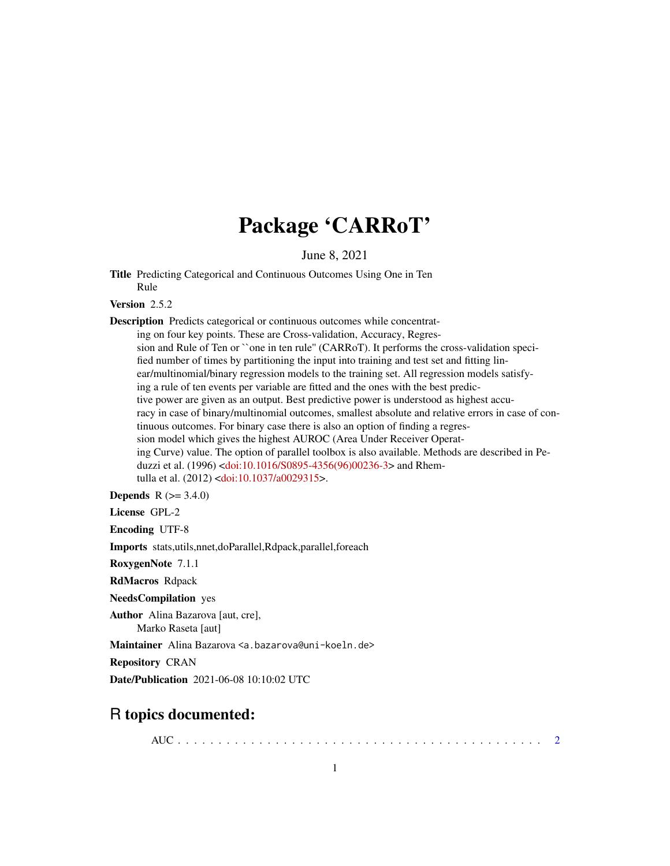## Package 'CARRoT'

June 8, 2021

<span id="page-0-0"></span>Title Predicting Categorical and Continuous Outcomes Using One in Ten Rule

Version 2.5.2

Description Predicts categorical or continuous outcomes while concentrating on four key points. These are Cross-validation, Accuracy, Regression and Rule of Ten or ``one in ten rule'' (CARRoT). It performs the cross-validation specified number of times by partitioning the input into training and test set and fitting linear/multinomial/binary regression models to the training set. All regression models satisfying a rule of ten events per variable are fitted and the ones with the best predictive power are given as an output. Best predictive power is understood as highest accuracy in case of binary/multinomial outcomes, smallest absolute and relative errors in case of continuous outcomes. For binary case there is also an option of finding a regression model which gives the highest AUROC (Area Under Receiver Operating Curve) value. The option of parallel toolbox is also available. Methods are described in Peduzzi et al. (1996) [<doi:10.1016/S0895-4356\(96\)00236-3>](https://doi.org/10.1016/S0895-4356(96)00236-3) and Rhemtulla et al. (2012) [<doi:10.1037/a0029315>](https://doi.org/10.1037/a0029315).

**Depends**  $R (= 3.4.0)$ 

License GPL-2

Encoding UTF-8

Imports stats,utils,nnet,doParallel,Rdpack,parallel,foreach

RoxygenNote 7.1.1

RdMacros Rdpack

NeedsCompilation yes

Author Alina Bazarova [aut, cre], Marko Raseta [aut]

Maintainer Alina Bazarova <a.bazarova@uni-koeln.de>

Repository CRAN

Date/Publication 2021-06-08 10:10:02 UTC

## R topics documented:

AUC . . . . . . . . . . . . . . . . . . . . . . . . . . . . . . . . . . . . . . . . . . . . . [2](#page-1-0)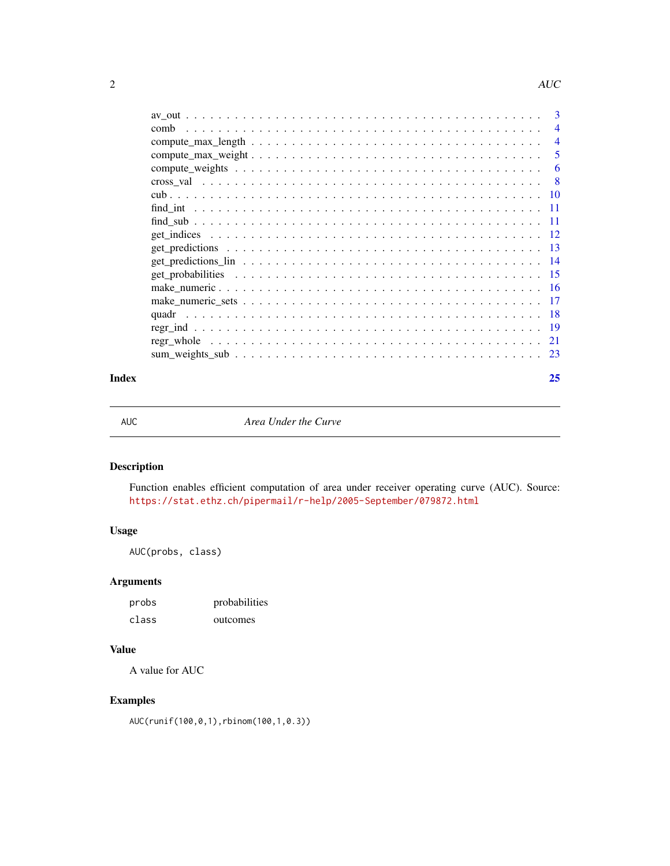<span id="page-1-0"></span>

|      | 3              |
|------|----------------|
| comb | $\overline{4}$ |
|      | $\overline{4}$ |
|      | 5              |
|      | 6              |
|      | -8             |
|      |                |
|      | -11            |
|      | -11            |
|      |                |
|      |                |
|      |                |
|      |                |
|      |                |
|      |                |
|      |                |
|      |                |
|      |                |
|      |                |
|      |                |

#### **Index** [25](#page-24-0)

<span id="page-1-1"></span>AUC *Area Under the Curve*

## Description

Function enables efficient computation of area under receiver operating curve (AUC). Source: <https://stat.ethz.ch/pipermail/r-help/2005-September/079872.html>

## Usage

AUC(probs, class)

## Arguments

| probs | probabilities |
|-------|---------------|
| class | outcomes      |

## Value

A value for AUC

## Examples

AUC(runif(100,0,1),rbinom(100,1,0.3))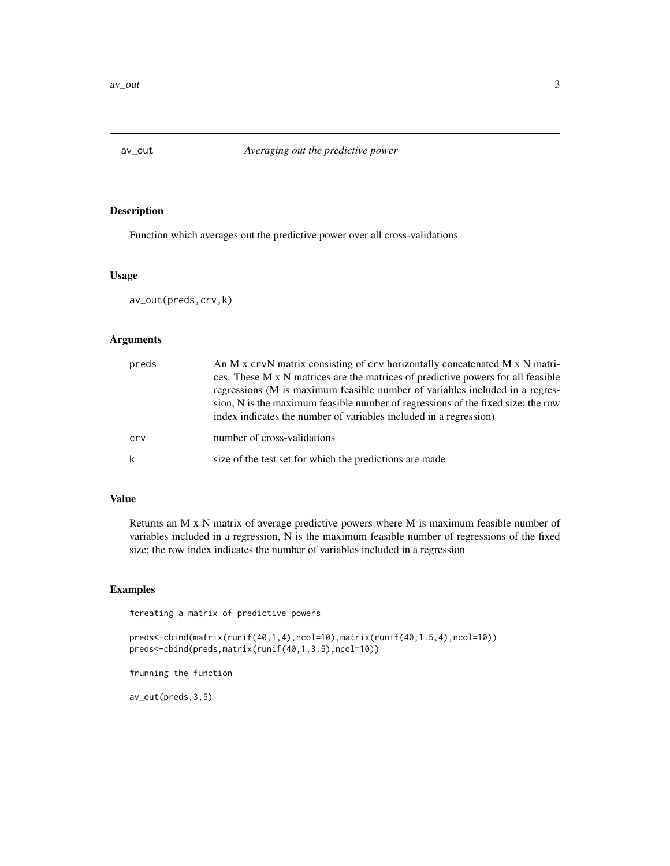<span id="page-2-1"></span><span id="page-2-0"></span>

Function which averages out the predictive power over all cross-validations

#### Usage

av\_out(preds,crv,k)

#### Arguments

| preds | An M x crvN matrix consisting of crv horizontally concatenated M x N matri-<br>ces. These M x N matrices are the matrices of predictive powers for all feasible<br>regressions (M is maximum feasible number of variables included in a regres-<br>sion, N is the maximum feasible number of regressions of the fixed size; the row<br>index indicates the number of variables included in a regression) |
|-------|----------------------------------------------------------------------------------------------------------------------------------------------------------------------------------------------------------------------------------------------------------------------------------------------------------------------------------------------------------------------------------------------------------|
| cry   | number of cross-validations                                                                                                                                                                                                                                                                                                                                                                              |
| k     | size of the test set for which the predictions are made                                                                                                                                                                                                                                                                                                                                                  |

## Value

Returns an M x N matrix of average predictive powers where M is maximum feasible number of variables included in a regression, N is the maximum feasible number of regressions of the fixed size; the row index indicates the number of variables included in a regression

## Examples

#creating a matrix of predictive powers

preds<-cbind(matrix(runif(40,1,4),ncol=10),matrix(runif(40,1.5,4),ncol=10)) preds<-cbind(preds,matrix(runif(40,1,3.5),ncol=10))

#running the function

av\_out(preds,3,5)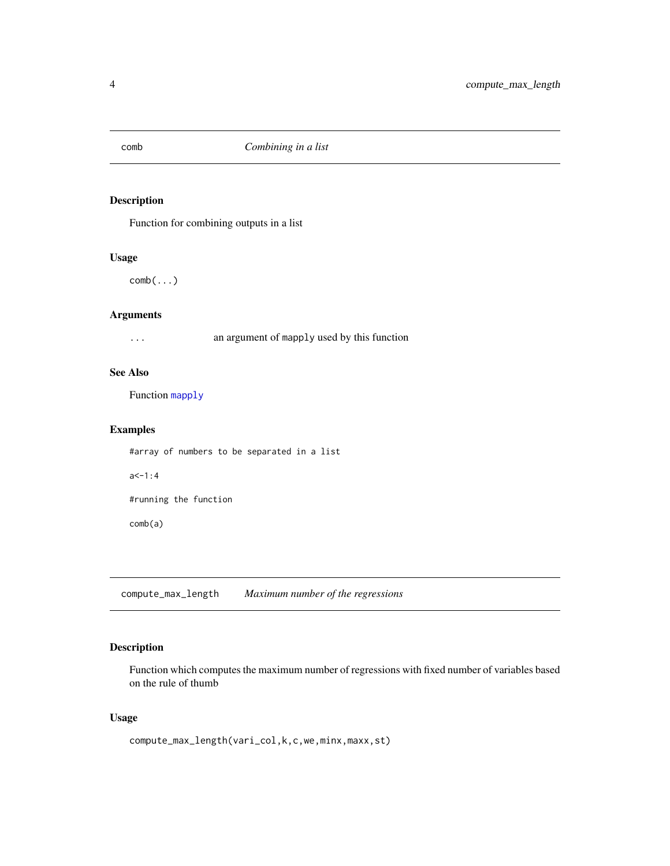<span id="page-3-0"></span>

Function for combining outputs in a list

## Usage

comb(...)

## Arguments

... an argument of mapply used by this function

## See Also

Function [mapply](#page-0-0)

#### Examples

#array of numbers to be separated in a list  $a < -1:4$ #running the function comb(a)

<span id="page-3-1"></span>compute\_max\_length *Maximum number of the regressions*

## Description

Function which computes the maximum number of regressions with fixed number of variables based on the rule of thumb

#### Usage

compute\_max\_length(vari\_col,k,c,we,minx,maxx,st)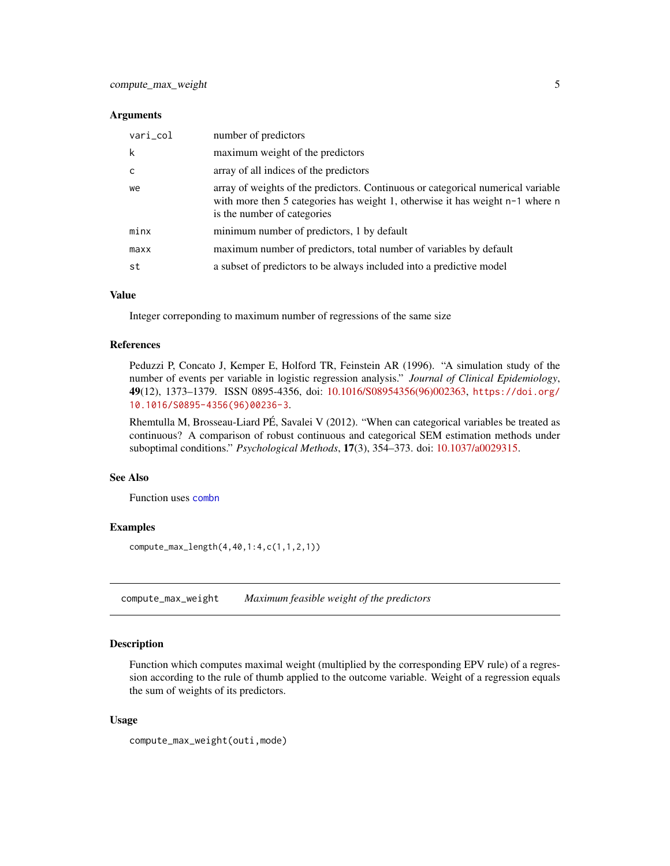#### <span id="page-4-0"></span>**Arguments**

| vari_col | number of predictors                                                                                                                                                                               |
|----------|----------------------------------------------------------------------------------------------------------------------------------------------------------------------------------------------------|
| k        | maximum weight of the predictors                                                                                                                                                                   |
| c        | array of all indices of the predictors                                                                                                                                                             |
| we       | array of weights of the predictors. Continuous or categorical numerical variable<br>with more then 5 categories has weight 1, otherwise it has weight $n-1$ where n<br>is the number of categories |
| minx     | minimum number of predictors, 1 by default                                                                                                                                                         |
| maxx     | maximum number of predictors, total number of variables by default                                                                                                                                 |
| st       | a subset of predictors to be always included into a predictive model                                                                                                                               |

## Value

Integer correponding to maximum number of regressions of the same size

#### References

Peduzzi P, Concato J, Kemper E, Holford TR, Feinstein AR (1996). "A simulation study of the number of events per variable in logistic regression analysis." *Journal of Clinical Epidemiology*, 49(12), 1373–1379. ISSN 0895-4356, doi: [10.1016/S08954356\(96\)002363,](https://doi.org/10.1016/S0895-4356(96)00236-3) [https://doi.org/](https://doi.org/10.1016/S0895-4356(96)00236-3) [10.1016/S0895-4356\(96\)00236-3](https://doi.org/10.1016/S0895-4356(96)00236-3).

Rhemtulla M, Brosseau-Liard PÉ, Savalei V (2012). "When can categorical variables be treated as continuous? A comparison of robust continuous and categorical SEM estimation methods under suboptimal conditions." *Psychological Methods*, 17(3), 354–373. doi: [10.1037/a0029315.](https://doi.org/10.1037/a0029315)

#### See Also

Function uses [combn](#page-0-0)

#### Examples

compute\_max\_length(4,40,1:4,c(1,1,2,1))

<span id="page-4-1"></span>compute\_max\_weight *Maximum feasible weight of the predictors*

## Description

Function which computes maximal weight (multiplied by the corresponding EPV rule) of a regression according to the rule of thumb applied to the outcome variable. Weight of a regression equals the sum of weights of its predictors.

#### Usage

compute\_max\_weight(outi,mode)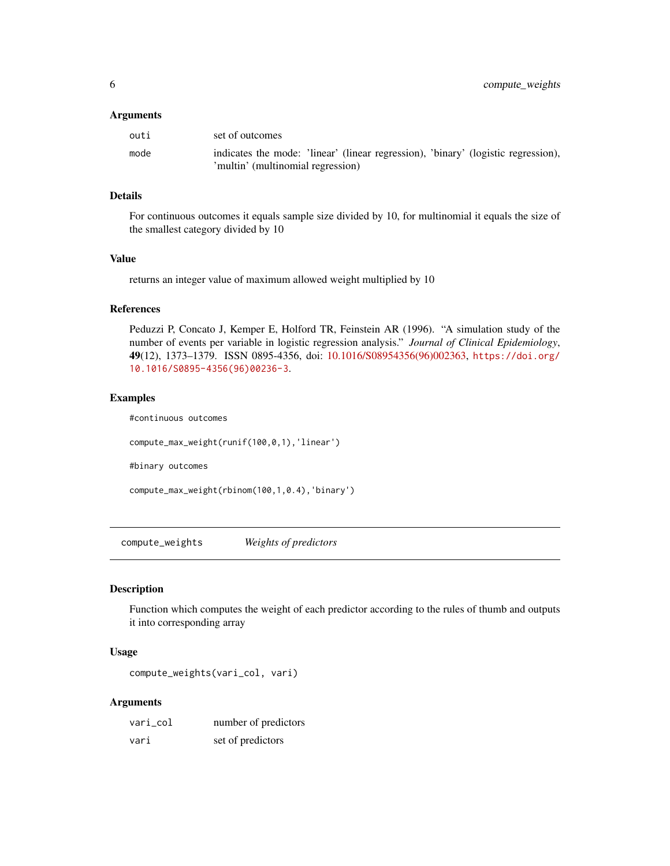#### <span id="page-5-0"></span>**Arguments**

| outi | set of outcomes                                                                   |
|------|-----------------------------------------------------------------------------------|
| mode | indicates the mode: 'linear' (linear regression), 'binary' (logistic regression), |
|      | 'multin' (multinomial regression)                                                 |

#### Details

For continuous outcomes it equals sample size divided by 10, for multinomial it equals the size of the smallest category divided by 10

#### Value

returns an integer value of maximum allowed weight multiplied by 10

#### References

Peduzzi P, Concato J, Kemper E, Holford TR, Feinstein AR (1996). "A simulation study of the number of events per variable in logistic regression analysis." *Journal of Clinical Epidemiology*, 49(12), 1373–1379. ISSN 0895-4356, doi: [10.1016/S08954356\(96\)002363,](https://doi.org/10.1016/S0895-4356(96)00236-3) [https://doi.org/](https://doi.org/10.1016/S0895-4356(96)00236-3) [10.1016/S0895-4356\(96\)00236-3](https://doi.org/10.1016/S0895-4356(96)00236-3).

#### Examples

#continuous outcomes

compute\_max\_weight(runif(100,0,1),'linear')

#binary outcomes

```
compute_max_weight(rbinom(100,1,0.4),'binary')
```
<span id="page-5-1"></span>compute\_weights *Weights of predictors*

#### Description

Function which computes the weight of each predictor according to the rules of thumb and outputs it into corresponding array

#### Usage

```
compute_weights(vari_col, vari)
```
#### Arguments

| vari col | number of predictors |
|----------|----------------------|
| vari     | set of predictors    |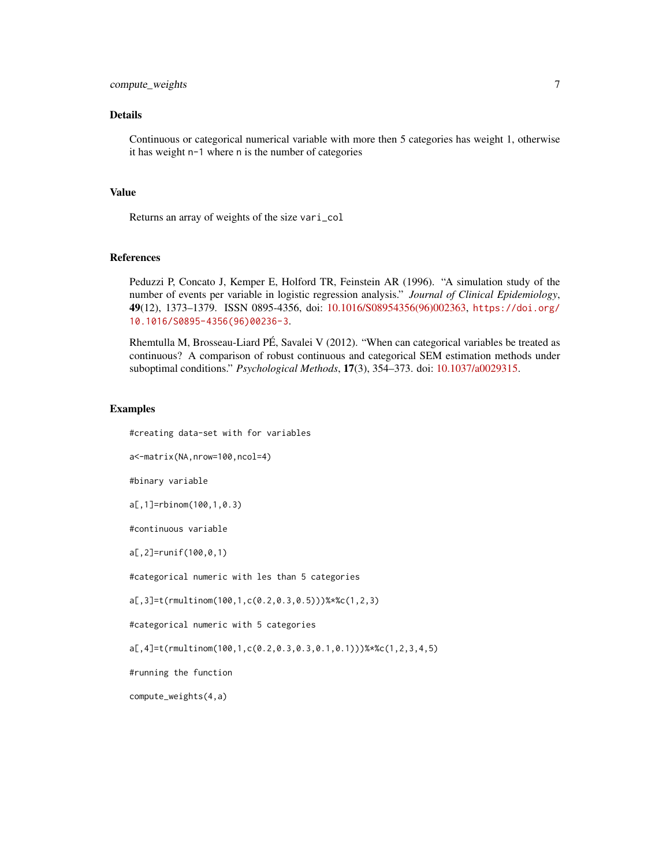#### Details

Continuous or categorical numerical variable with more then 5 categories has weight 1, otherwise it has weight n-1 where n is the number of categories

## Value

Returns an array of weights of the size vari\_col

#### References

Peduzzi P, Concato J, Kemper E, Holford TR, Feinstein AR (1996). "A simulation study of the number of events per variable in logistic regression analysis." *Journal of Clinical Epidemiology*, 49(12), 1373–1379. ISSN 0895-4356, doi: [10.1016/S08954356\(96\)002363,](https://doi.org/10.1016/S0895-4356(96)00236-3) [https://doi.org/](https://doi.org/10.1016/S0895-4356(96)00236-3) [10.1016/S0895-4356\(96\)00236-3](https://doi.org/10.1016/S0895-4356(96)00236-3).

Rhemtulla M, Brosseau-Liard PÉ, Savalei V (2012). "When can categorical variables be treated as continuous? A comparison of robust continuous and categorical SEM estimation methods under suboptimal conditions." *Psychological Methods*, 17(3), 354–373. doi: [10.1037/a0029315.](https://doi.org/10.1037/a0029315)

#### Examples

#creating data-set with for variables

a<-matrix(NA,nrow=100,ncol=4)

#binary variable

a[,1]=rbinom(100,1,0.3)

#continuous variable

a[,2]=runif(100,0,1)

#categorical numeric with les than 5 categories

a[,3]=t(rmultinom(100,1,c(0.2,0.3,0.5)))%\*%c(1,2,3)

#categorical numeric with 5 categories

a[,4]=t(rmultinom(100,1,c(0.2,0.3,0.3,0.1,0.1)))%\*%c(1,2,3,4,5)

#running the function

compute\_weights(4,a)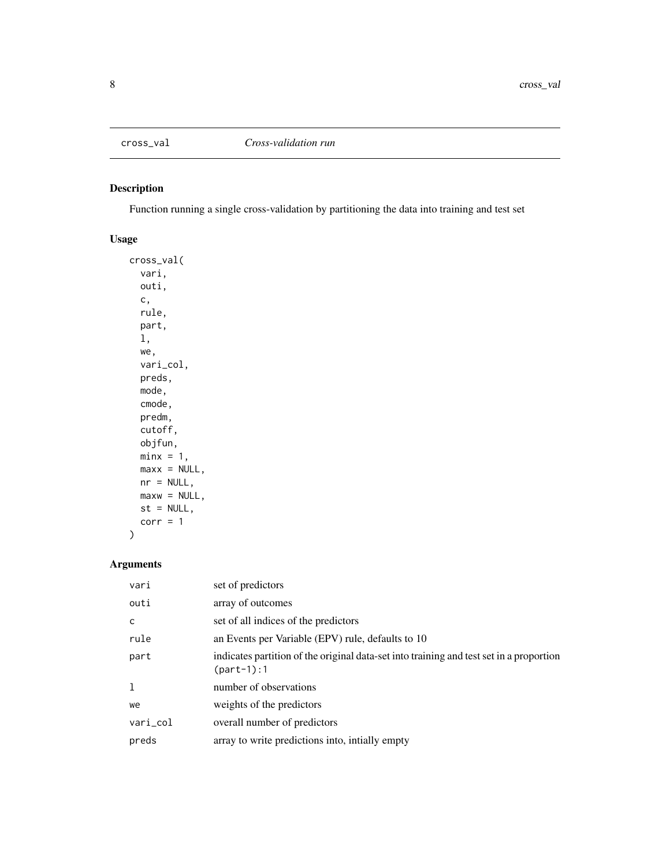<span id="page-7-1"></span><span id="page-7-0"></span>

Function running a single cross-validation by partitioning the data into training and test set

## Usage

cross\_val( vari, outi, c, rule, part, l, we, vari\_col, preds, mode, cmode, predm, cutoff, objfun,  $minx = 1$ ,  $max x = NULL,$  $nr = NULL,$  $maxw = NULL,$  $st = NULL,$  $corr = 1$ )

## Arguments

| vari     | set of predictors                                                                                       |
|----------|---------------------------------------------------------------------------------------------------------|
| outi     | array of outcomes                                                                                       |
| C        | set of all indices of the predictors                                                                    |
| rule     | an Events per Variable (EPV) rule, defaults to 10                                                       |
| part     | indicates partition of the original data-set into training and test set in a proportion<br>$(part-1):1$ |
|          | number of observations                                                                                  |
| we       | weights of the predictors                                                                               |
| vari_col | overall number of predictors                                                                            |
| preds    | array to write predictions into, initally empty                                                         |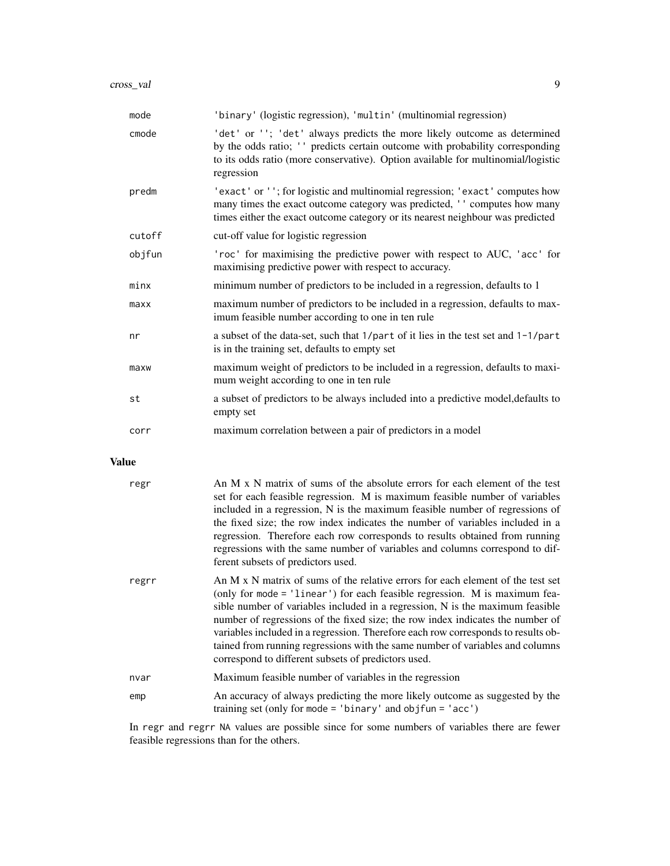| mode   | 'binary' (logistic regression), 'multin' (multinomial regression)                                                                                                                                                                                           |
|--------|-------------------------------------------------------------------------------------------------------------------------------------------------------------------------------------------------------------------------------------------------------------|
| cmode  | 'det' or ''; 'det' always predicts the more likely outcome as determined<br>by the odds ratio; '' predicts certain outcome with probability corresponding<br>to its odds ratio (more conservative). Option available for multinomial/logistic<br>regression |
| predm  | 'exact' or ''; for logistic and multinomial regression; 'exact' computes how<br>many times the exact outcome category was predicted, '' computes how many<br>times either the exact outcome category or its nearest neighbour was predicted                 |
| cutoff | cut-off value for logistic regression                                                                                                                                                                                                                       |
| objfun | 'roc' for maximising the predictive power with respect to AUC, 'acc' for<br>maximising predictive power with respect to accuracy.                                                                                                                           |
| minx   | minimum number of predictors to be included in a regression, defaults to 1                                                                                                                                                                                  |
| maxx   | maximum number of predictors to be included in a regression, defaults to max-<br>imum feasible number according to one in ten rule                                                                                                                          |
| nr     | a subset of the data-set, such that $1/part$ of it lies in the test set and $1-1/part$<br>is in the training set, defaults to empty set                                                                                                                     |
| maxw   | maximum weight of predictors to be included in a regression, defaults to maxi-<br>mum weight according to one in ten rule                                                                                                                                   |
| st     | a subset of predictors to be always included into a predictive model, defaults to<br>empty set                                                                                                                                                              |
| corr   | maximum correlation between a pair of predictors in a model                                                                                                                                                                                                 |

## Value

| regr  | An M x N matrix of sums of the absolute errors for each element of the test<br>set for each feasible regression. M is maximum feasible number of variables<br>included in a regression, N is the maximum feasible number of regressions of<br>the fixed size; the row index indicates the number of variables included in a<br>regression. Therefore each row corresponds to results obtained from running<br>regressions with the same number of variables and columns correspond to dif-<br>ferent subsets of predictors used.                              |
|-------|---------------------------------------------------------------------------------------------------------------------------------------------------------------------------------------------------------------------------------------------------------------------------------------------------------------------------------------------------------------------------------------------------------------------------------------------------------------------------------------------------------------------------------------------------------------|
| regrr | An M x N matrix of sums of the relative errors for each element of the test set<br>(only for mode = 'linear') for each feasible regression. M is maximum fea-<br>sible number of variables included in a regression, N is the maximum feasible<br>number of regressions of the fixed size; the row index indicates the number of<br>variables included in a regression. Therefore each row corresponds to results ob-<br>tained from running regressions with the same number of variables and columns<br>correspond to different subsets of predictors used. |
| nvar  | Maximum feasible number of variables in the regression                                                                                                                                                                                                                                                                                                                                                                                                                                                                                                        |
| emp   | An accuracy of always predicting the more likely outcome as suggested by the<br>training set (only for mode = 'binary' and objfun = 'acc')                                                                                                                                                                                                                                                                                                                                                                                                                    |

In regr and regrr NA values are possible since for some numbers of variables there are fewer feasible regressions than for the others.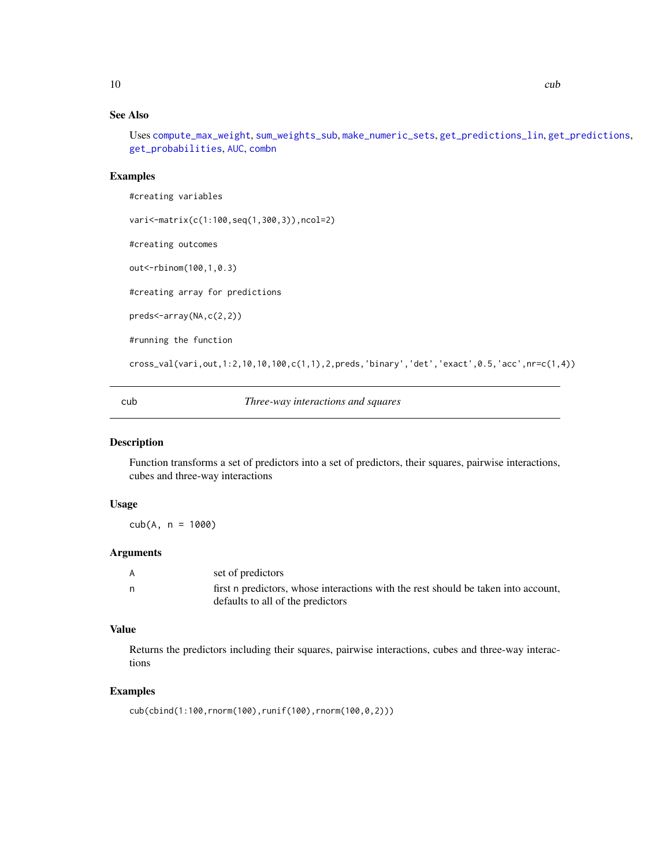## <span id="page-9-0"></span>See Also

Uses [compute\\_max\\_weight](#page-4-1), [sum\\_weights\\_sub](#page-22-1), [make\\_numeric\\_sets](#page-16-1), [get\\_predictions\\_lin](#page-13-1), [get\\_predictions](#page-12-1), [get\\_probabilities](#page-14-1), [AUC](#page-1-1), [combn](#page-0-0)

## Examples

#creating variables

vari<-matrix(c(1:100,seq(1,300,3)),ncol=2)

#creating outcomes

out<-rbinom(100,1,0.3)

#creating array for predictions

preds<-array(NA,c(2,2))

#running the function

cross\_val(vari,out,1:2,10,10,100,c(1,1),2,preds,'binary','det','exact',0.5,'acc',nr=c(1,4))

cub *Three-way interactions and squares*

#### Description

Function transforms a set of predictors into a set of predictors, their squares, pairwise interactions, cubes and three-way interactions

#### Usage

 $cub(A, n = 1000)$ 

## Arguments

| set of predictors<br>A |                                                                                                                         |
|------------------------|-------------------------------------------------------------------------------------------------------------------------|
| n,                     | first n predictors, whose interactions with the rest should be taken into account,<br>defaults to all of the predictors |

#### Value

Returns the predictors including their squares, pairwise interactions, cubes and three-way interactions

```
cub(cbind(1:100,rnorm(100),runif(100),rnorm(100,0,2)))
```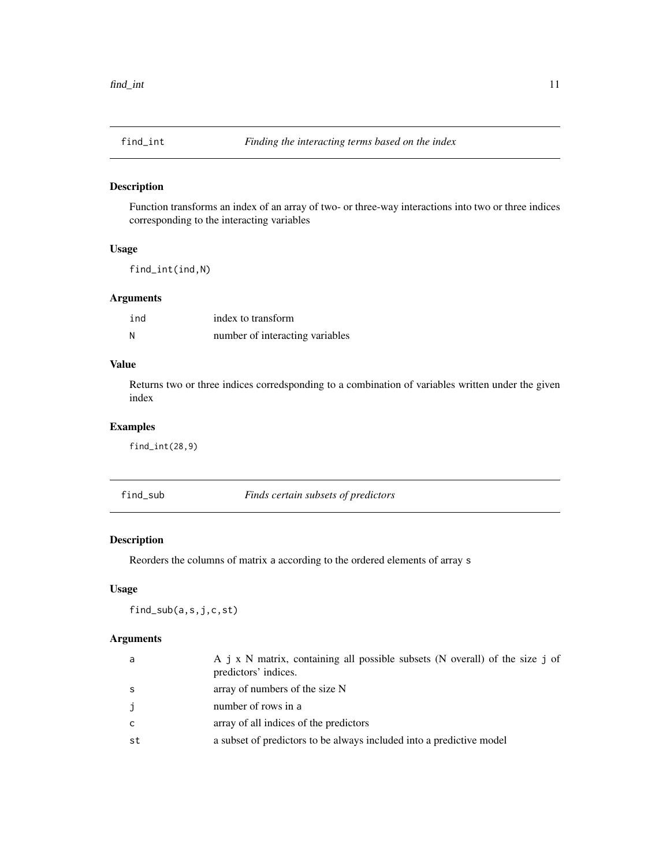<span id="page-10-0"></span>

Function transforms an index of an array of two- or three-way interactions into two or three indices corresponding to the interacting variables

#### Usage

find\_int(ind,N)

## Arguments

| ind | index to transform              |
|-----|---------------------------------|
| - N | number of interacting variables |

## Value

Returns two or three indices corredsponding to a combination of variables written under the given index

## Examples

find\_int(28,9)

<span id="page-10-1"></span>find\_sub *Finds certain subsets of predictors*

## Description

Reorders the columns of matrix a according to the ordered elements of array s

## Usage

find\_sub(a,s,j,c,st)

#### Arguments

| a   | A j x N matrix, containing all possible subsets (N overall) of the size j of<br>predictors' indices. |
|-----|------------------------------------------------------------------------------------------------------|
| - S | array of numbers of the size N                                                                       |
| j   | number of rows in a                                                                                  |
| C.  | array of all indices of the predictors                                                               |
| .st | a subset of predictors to be always included into a predictive model                                 |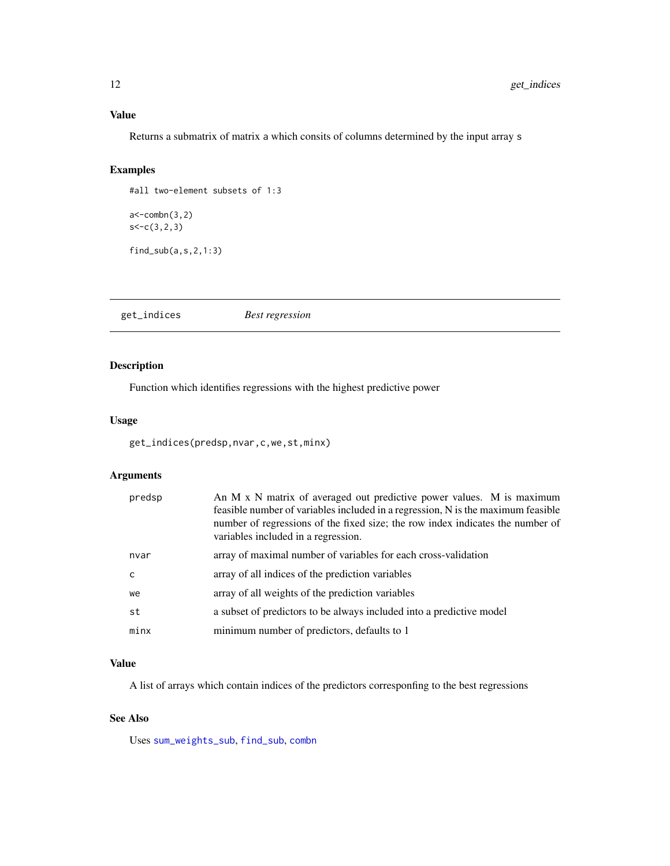## <span id="page-11-0"></span>Value

Returns a submatrix of matrix a which consits of columns determined by the input array s

## Examples

```
#all two-element subsets of 1:3
```

```
a<-combn(3,2)
s<-c(3,2,3)
```
find\_sub(a,s,2,1:3)

<span id="page-11-1"></span>get\_indices *Best regression*

## Description

Function which identifies regressions with the highest predictive power

#### Usage

```
get_indices(predsp,nvar,c,we,st,minx)
```
## Arguments

| predsp | An M x N matrix of averaged out predictive power values. M is maximum<br>feasible number of variables included in a regression, N is the maximum feasible<br>number of regressions of the fixed size; the row index indicates the number of<br>variables included in a regression. |
|--------|------------------------------------------------------------------------------------------------------------------------------------------------------------------------------------------------------------------------------------------------------------------------------------|
| nvar   | array of maximal number of variables for each cross-validation                                                                                                                                                                                                                     |
| C      | array of all indices of the prediction variables                                                                                                                                                                                                                                   |
| we     | array of all weights of the prediction variables                                                                                                                                                                                                                                   |
| st     | a subset of predictors to be always included into a predictive model                                                                                                                                                                                                               |
| minx   | minimum number of predictors, defaults to 1                                                                                                                                                                                                                                        |

#### Value

A list of arrays which contain indices of the predictors corresponfing to the best regressions

#### See Also

Uses [sum\\_weights\\_sub](#page-22-1), [find\\_sub](#page-10-1), [combn](#page-0-0)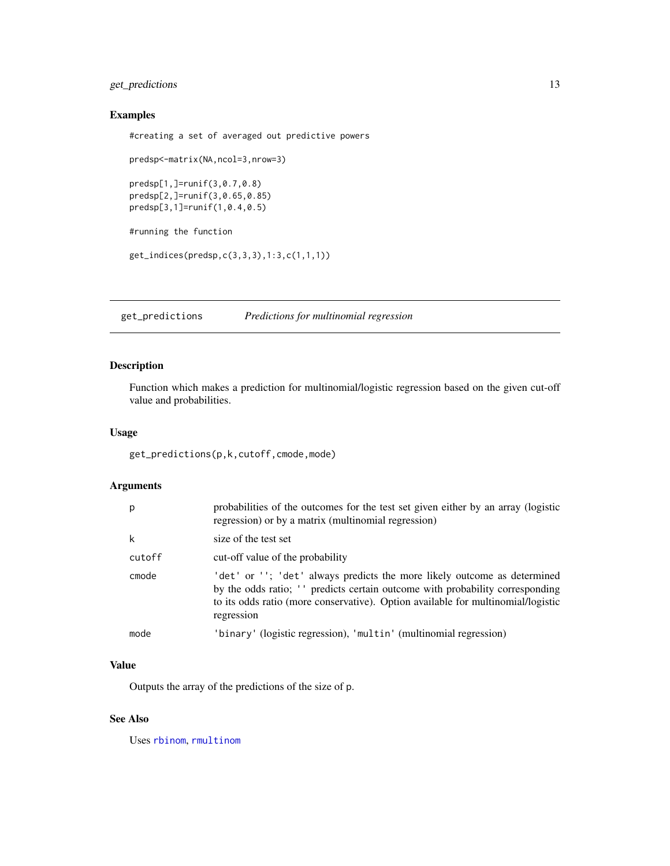## <span id="page-12-0"></span>get\_predictions 13

#### Examples

#creating a set of averaged out predictive powers

```
predsp<-matrix(NA,ncol=3,nrow=3)
predsp[1,]=runif(3,0.7,0.8)
predsp[2,]=runif(3,0.65,0.85)
predsp[3,1]=runif(1,0.4,0.5)
#running the function
```
get\_indices(predsp,c(3,3,3),1:3,c(1,1,1))

<span id="page-12-1"></span>get\_predictions *Predictions for multinomial regression*

## Description

Function which makes a prediction for multinomial/logistic regression based on the given cut-off value and probabilities.

#### Usage

get\_predictions(p,k,cutoff,cmode,mode)

## Arguments

| p      | probabilities of the outcomes for the test set given either by an array (logistic<br>regression) or by a matrix (multinomial regression)                                                                                                                    |
|--------|-------------------------------------------------------------------------------------------------------------------------------------------------------------------------------------------------------------------------------------------------------------|
| k      | size of the test set                                                                                                                                                                                                                                        |
| cutoff | cut-off value of the probability                                                                                                                                                                                                                            |
| cmode  | 'det' or ''; 'det' always predicts the more likely outcome as determined<br>by the odds ratio; '' predicts certain outcome with probability corresponding<br>to its odds ratio (more conservative). Option available for multinomial/logistic<br>regression |
| mode   | 'binary' (logistic regression), 'multin' (multinomial regression)                                                                                                                                                                                           |

#### Value

Outputs the array of the predictions of the size of p.

#### See Also

Uses [rbinom](#page-0-0), [rmultinom](#page-0-0)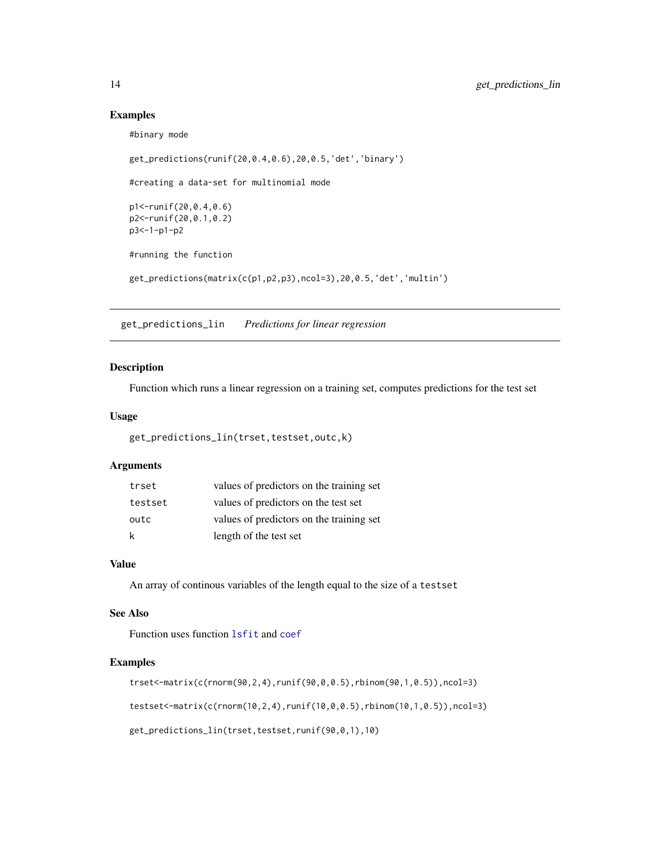#### Examples

```
#binary mode
get_predictions(runif(20,0.4,0.6),20,0.5,'det','binary')
#creating a data-set for multinomial mode
p1<-runif(20,0.4,0.6)
p2<-runif(20,0.1,0.2)
p3<-1-p1-p2
#running the function
get_predictions(matrix(c(p1,p2,p3),ncol=3),20,0.5,'det','multin')
```
<span id="page-13-1"></span>get\_predictions\_lin *Predictions for linear regression*

## Description

Function which runs a linear regression on a training set, computes predictions for the test set

#### Usage

```
get_predictions_lin(trset,testset,outc,k)
```
## Arguments

| trset   | values of predictors on the training set |
|---------|------------------------------------------|
| testset | values of predictors on the test set     |
| outc    | values of predictors on the training set |
| k       | length of the test set                   |

#### Value

An array of continous variables of the length equal to the size of a testset

#### See Also

Function uses function [lsfit](#page-0-0) and [coef](#page-0-0)

```
trset<-matrix(c(rnorm(90,2,4),runif(90,0,0.5),rbinom(90,1,0.5)),ncol=3)
testset<-matrix(c(rnorm(10,2,4),runif(10,0,0.5),rbinom(10,1,0.5)),ncol=3)
get_predictions_lin(trset,testset,runif(90,0,1),10)
```
<span id="page-13-0"></span>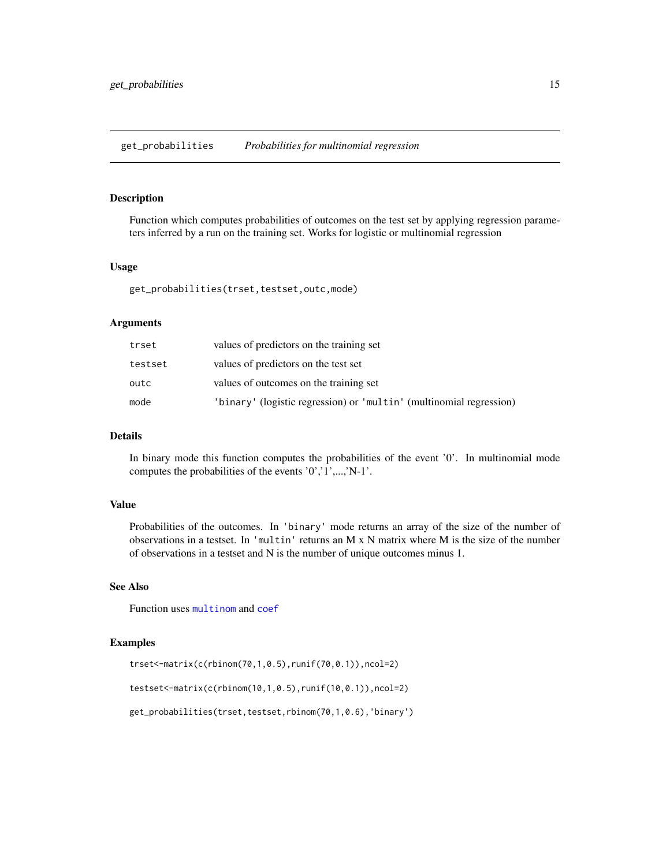<span id="page-14-1"></span><span id="page-14-0"></span>get\_probabilities *Probabilities for multinomial regression*

#### Description

Function which computes probabilities of outcomes on the test set by applying regression parameters inferred by a run on the training set. Works for logistic or multinomial regression

#### Usage

```
get_probabilities(trset,testset,outc,mode)
```
#### Arguments

| trset   | values of predictors on the training set                            |
|---------|---------------------------------------------------------------------|
| testset | values of predictors on the test set                                |
| outc    | values of outcomes on the training set                              |
| mode    | 'binary' (logistic regression) or 'multin' (multinomial regression) |

#### Details

In binary mode this function computes the probabilities of the event '0'. In multinomial mode computes the probabilities of the events '0','1',...,'N-1'.

## Value

Probabilities of the outcomes. In 'binary' mode returns an array of the size of the number of observations in a testset. In 'multin' returns an M x N matrix where M is the size of the number of observations in a testset and N is the number of unique outcomes minus 1.

#### See Also

Function uses [multinom](#page-0-0) and [coef](#page-0-0)

```
trset<-matrix(c(rbinom(70,1,0.5),runif(70,0.1)),ncol=2)
```

```
testset<-matrix(c(rbinom(10,1,0.5),runif(10,0.1)),ncol=2)
```

```
get_probabilities(trset,testset,rbinom(70,1,0.6),'binary')
```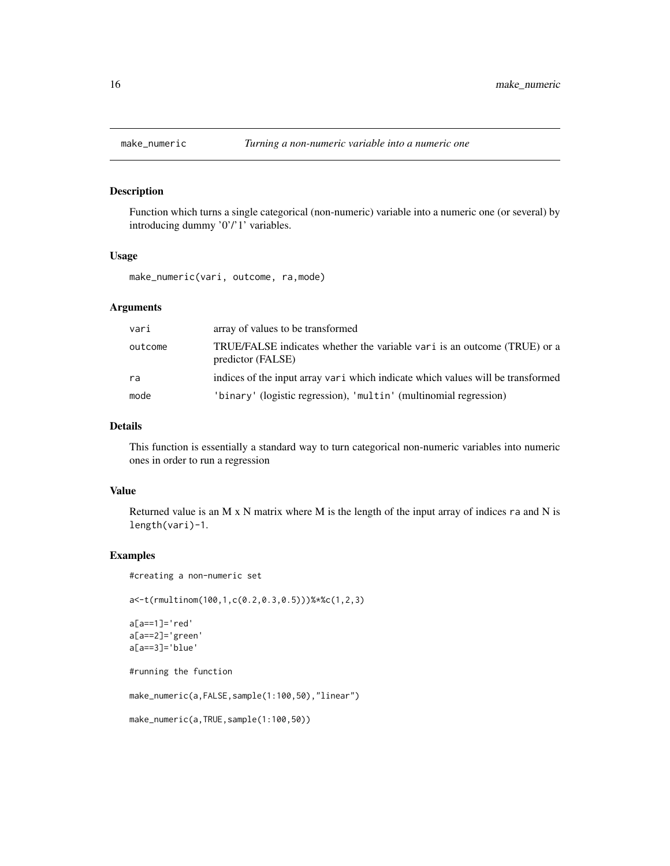<span id="page-15-1"></span><span id="page-15-0"></span>

Function which turns a single categorical (non-numeric) variable into a numeric one (or several) by introducing dummy '0'/'1' variables.

#### Usage

make\_numeric(vari, outcome, ra,mode)

#### Arguments

| vari    | array of values to be transformed                                                             |
|---------|-----------------------------------------------------------------------------------------------|
| outcome | TRUE/FALSE indicates whether the variable vari is an outcome (TRUE) or a<br>predictor (FALSE) |
| ra      | indices of the input array vari which indicate which values will be transformed               |
| mode    | 'binary' (logistic regression), 'multin' (multinomial regression)                             |

#### Details

This function is essentially a standard way to turn categorical non-numeric variables into numeric ones in order to run a regression

#### Value

Returned value is an M  $\times$  N matrix where M is the length of the input array of indices ra and N is length(vari)-1.

```
#creating a non-numeric set
a<-t(rmultinom(100,1,c(0.2,0.3,0.5)))%*%c(1,2,3)
a[a==1]='red'
a[a==2]='green'
a[a==3]='blue'
#running the function
make_numeric(a,FALSE,sample(1:100,50),"linear")
make_numeric(a,TRUE,sample(1:100,50))
```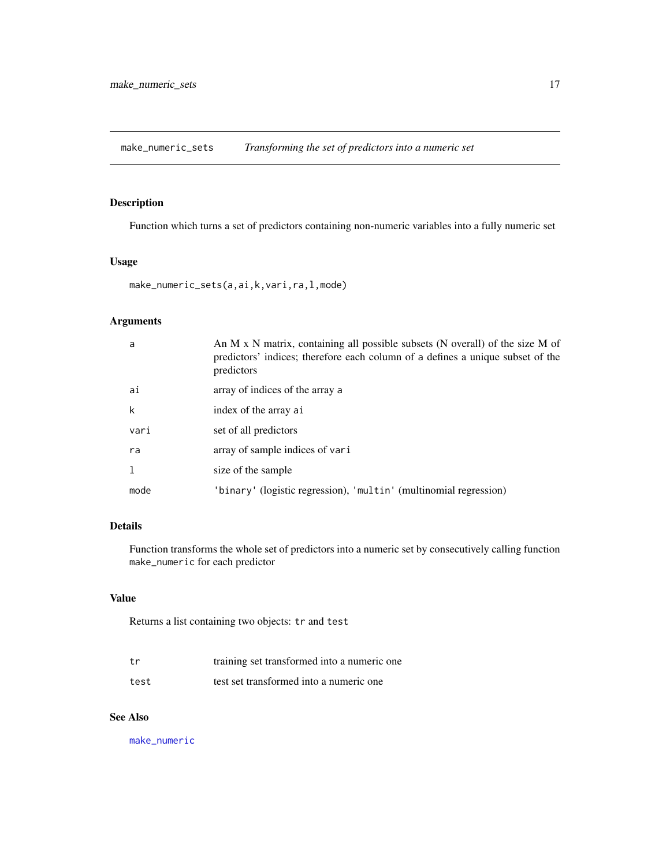<span id="page-16-1"></span><span id="page-16-0"></span>make\_numeric\_sets *Transforming the set of predictors into a numeric set*

## Description

Function which turns a set of predictors containing non-numeric variables into a fully numeric set

#### Usage

make\_numeric\_sets(a,ai,k,vari,ra,l,mode)

## Arguments

| a            | An M x N matrix, containing all possible subsets (N overall) of the size M of<br>predictors' indices; therefore each column of a defines a unique subset of the<br>predictors |
|--------------|-------------------------------------------------------------------------------------------------------------------------------------------------------------------------------|
| ai           | array of indices of the array a                                                                                                                                               |
| k            | index of the array ai                                                                                                                                                         |
| vari         | set of all predictors                                                                                                                                                         |
| ra           | array of sample indices of vari                                                                                                                                               |
| $\mathbf{1}$ | size of the sample                                                                                                                                                            |
| mode         | 'binary' (logistic regression), 'multin' (multinomial regression)                                                                                                             |

## Details

Function transforms the whole set of predictors into a numeric set by consecutively calling function make\_numeric for each predictor

#### Value

Returns a list containing two objects: tr and test

| t.r  | training set transformed into a numeric one |
|------|---------------------------------------------|
| test | test set transformed into a numeric one     |

## See Also

[make\\_numeric](#page-15-1)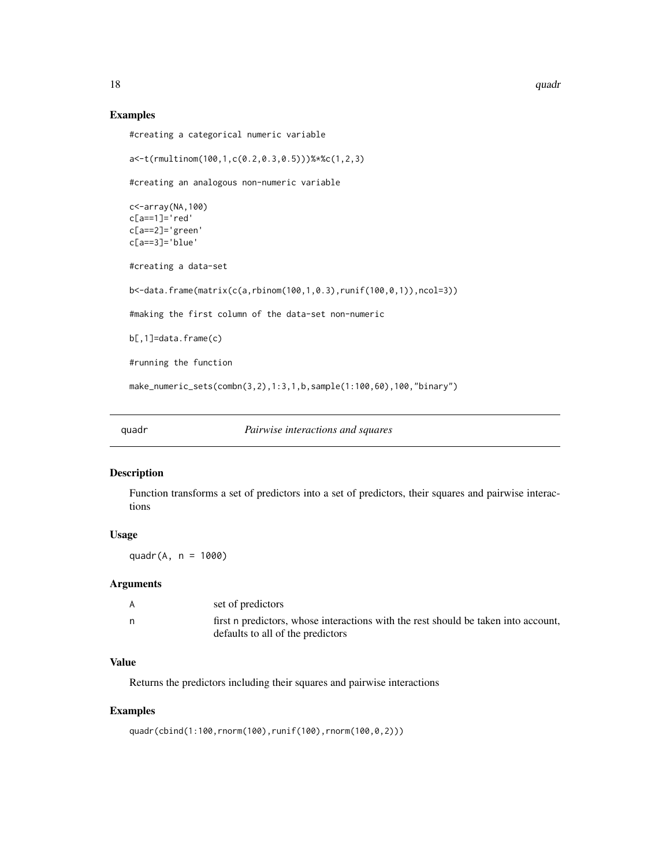#### Examples

```
#creating a categorical numeric variable
a<-t(rmultinom(100,1,c(0.2,0.3,0.5)))%*%c(1,2,3)
#creating an analogous non-numeric variable
c<-array(NA,100)
c[a==1]='red'
c[a==2]='green'
c[a==3]='blue'
#creating a data-set
b<-data.frame(matrix(c(a,rbinom(100,1,0.3),runif(100,0,1)),ncol=3))
#making the first column of the data-set non-numeric
b[,1]=data.frame(c)
#running the function
make_numeric_sets(combn(3,2),1:3,1,b,sample(1:100,60),100,"binary")
```
quadr *Pairwise interactions and squares*

#### Description

Function transforms a set of predictors into a set of predictors, their squares and pairwise interactions

## Usage

quadr $(A, n = 1000)$ 

#### Arguments

| A | set of predictors                                                                  |
|---|------------------------------------------------------------------------------------|
|   | first n predictors, whose interactions with the rest should be taken into account, |
|   | defaults to all of the predictors                                                  |

## Value

Returns the predictors including their squares and pairwise interactions

#### Examples

quadr(cbind(1:100,rnorm(100),runif(100),rnorm(100,0,2)))

<span id="page-17-0"></span>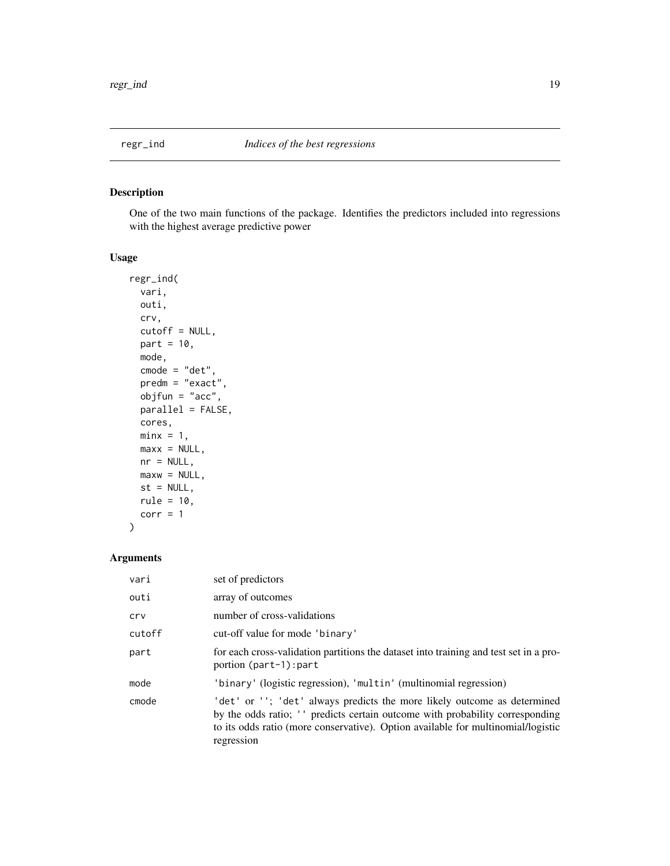<span id="page-18-1"></span><span id="page-18-0"></span>

One of the two main functions of the package. Identifies the predictors included into regressions with the highest average predictive power

## Usage

```
regr_ind(
 vari,
 outi,
 crv,
 cutoff = NULL,
 part = 10,
 mode,
 cmode = "det",
 predm = "exact",
 objfun = "acc",
 parallel = FALSE,
 cores,
 minx = 1,
 max x = NULL,nr = NULL,maxw = NULL,st = NULL,rule = 10,
 corr = 1
```
## Arguments

)

| vari   | set of predictors                                                                                                                                                                                                                                          |
|--------|------------------------------------------------------------------------------------------------------------------------------------------------------------------------------------------------------------------------------------------------------------|
| outi   | array of outcomes                                                                                                                                                                                                                                          |
| crv    | number of cross-validations                                                                                                                                                                                                                                |
| cutoff | cut-off value for mode 'binary'                                                                                                                                                                                                                            |
| part   | for each cross-validation partitions the dataset into training and test set in a pro-<br>portion (part-1): part                                                                                                                                            |
| mode   | 'binary' (logistic regression), 'multin' (multinomial regression)                                                                                                                                                                                          |
| cmode  | 'det' or ''; 'det' always predicts the more likely outcome as determined<br>by the odds ratio; " predicts certain outcome with probability corresponding<br>to its odds ratio (more conservative). Option available for multinomial/logistic<br>regression |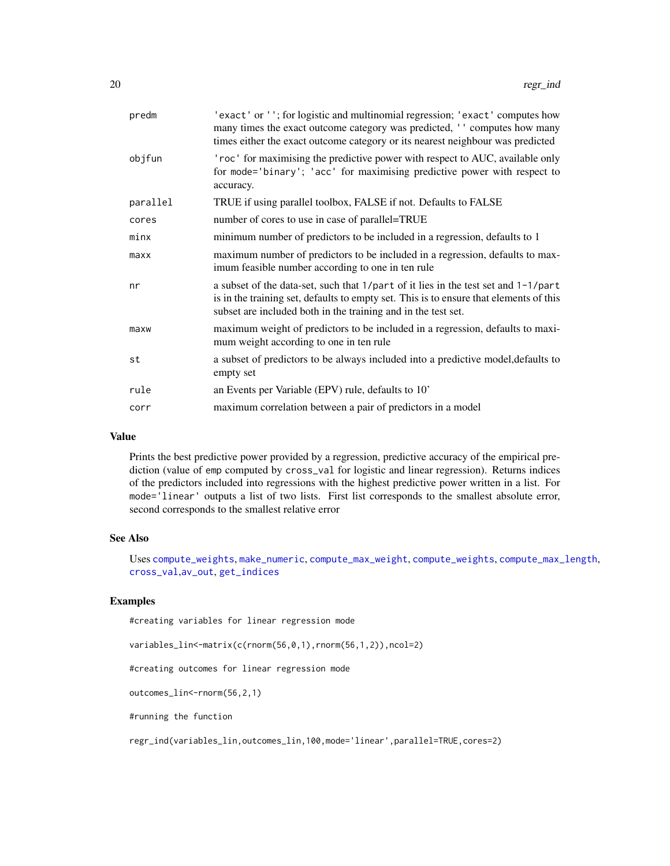<span id="page-19-0"></span>

| predm    | 'exact' or ''; for logistic and multinomial regression; 'exact' computes how<br>many times the exact outcome category was predicted, '' computes how many<br>times either the exact outcome category or its nearest neighbour was predicted   |
|----------|-----------------------------------------------------------------------------------------------------------------------------------------------------------------------------------------------------------------------------------------------|
| objfun   | 'roc' for maximising the predictive power with respect to AUC, available only<br>for mode='binary'; 'acc' for maximising predictive power with respect to<br>accuracy.                                                                        |
| parallel | TRUE if using parallel toolbox, FALSE if not. Defaults to FALSE                                                                                                                                                                               |
| cores    | number of cores to use in case of parallel=TRUE                                                                                                                                                                                               |
| minx     | minimum number of predictors to be included in a regression, defaults to 1                                                                                                                                                                    |
| maxx     | maximum number of predictors to be included in a regression, defaults to max-<br>imum feasible number according to one in ten rule                                                                                                            |
| nr       | a subset of the data-set, such that 1/part of it lies in the test set and 1-1/part<br>is in the training set, defaults to empty set. This is to ensure that elements of this<br>subset are included both in the training and in the test set. |
| maxw     | maximum weight of predictors to be included in a regression, defaults to maxi-<br>mum weight according to one in ten rule                                                                                                                     |
| st       | a subset of predictors to be always included into a predictive model, defaults to<br>empty set                                                                                                                                                |
| rule     | an Events per Variable (EPV) rule, defaults to 10'                                                                                                                                                                                            |
| corr     | maximum correlation between a pair of predictors in a model                                                                                                                                                                                   |
|          |                                                                                                                                                                                                                                               |

#### Value

Prints the best predictive power provided by a regression, predictive accuracy of the empirical prediction (value of emp computed by cross\_val for logistic and linear regression). Returns indices of the predictors included into regressions with the highest predictive power written in a list. For mode='linear' outputs a list of two lists. First list corresponds to the smallest absolute error, second corresponds to the smallest relative error

#### See Also

Uses [compute\\_weights](#page-5-1), [make\\_numeric](#page-15-1), [compute\\_max\\_weight](#page-4-1), [compute\\_weights](#page-5-1), [compute\\_max\\_length](#page-3-1), [cross\\_val](#page-7-1),[av\\_out](#page-2-1), [get\\_indices](#page-11-1)

## Examples

#creating variables for linear regression mode

variables\_lin<-matrix(c(rnorm(56,0,1),rnorm(56,1,2)),ncol=2)

#creating outcomes for linear regression mode

outcomes\_lin<-rnorm(56,2,1)

#running the function

regr\_ind(variables\_lin,outcomes\_lin,100,mode='linear',parallel=TRUE,cores=2)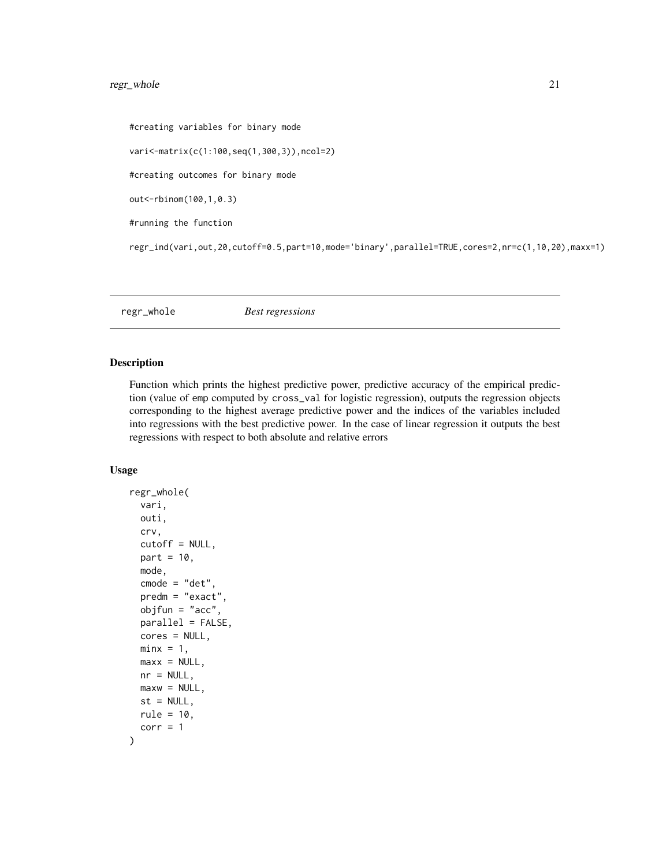## <span id="page-20-0"></span>regr\_whole 21

```
#creating variables for binary mode
vari<-matrix(c(1:100,seq(1,300,3)),ncol=2)
#creating outcomes for binary mode
out<-rbinom(100,1,0.3)
#running the function
regr_ind(vari,out,20,cutoff=0.5,part=10,mode='binary',parallel=TRUE,cores=2,nr=c(1,10,20),maxx=1)
```
regr\_whole *Best regressions*

#### Description

Function which prints the highest predictive power, predictive accuracy of the empirical prediction (value of emp computed by cross\_val for logistic regression), outputs the regression objects corresponding to the highest average predictive power and the indices of the variables included into regressions with the best predictive power. In the case of linear regression it outputs the best regressions with respect to both absolute and relative errors

#### Usage

```
regr_whole(
  vari,
 outi,
  crv,
  cutoff = NULL,
 part = 10,
 mode,
  cmode = "det",
 predm = "exact",
 objfun = "acc",
  parallel = FALSE,
  cores = NULL,
 minx = 1,
 max x = NULL,nr = NULL,
 maxw = NULL,st = NULL,
 rule = 10,
  corr = 1)
```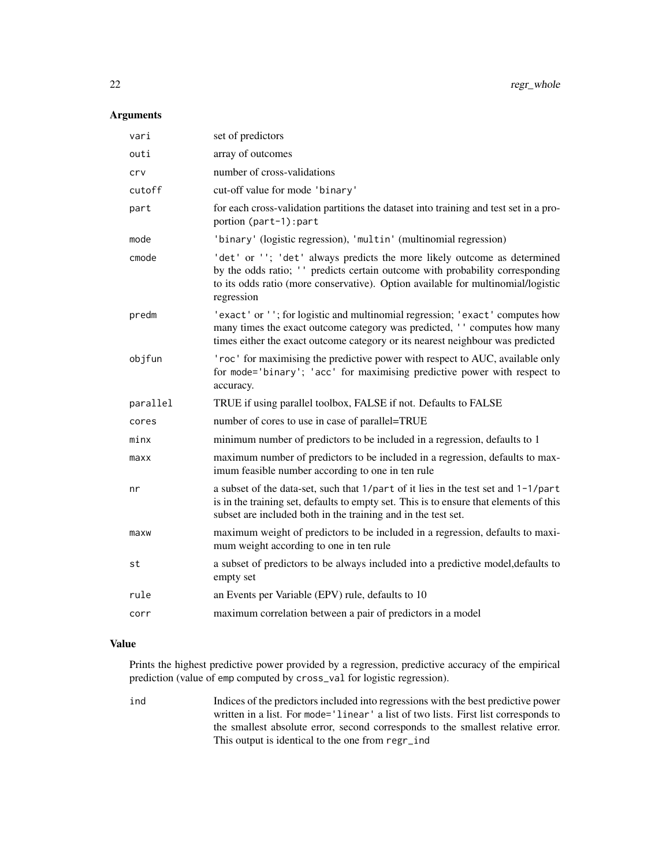## Arguments

| vari     | set of predictors                                                                                                                                                                                                                                           |
|----------|-------------------------------------------------------------------------------------------------------------------------------------------------------------------------------------------------------------------------------------------------------------|
| outi     | array of outcomes                                                                                                                                                                                                                                           |
| crv      | number of cross-validations                                                                                                                                                                                                                                 |
| cutoff   | cut-off value for mode 'binary'                                                                                                                                                                                                                             |
| part     | for each cross-validation partitions the dataset into training and test set in a pro-<br>portion (part-1): part                                                                                                                                             |
| mode     | 'binary' (logistic regression), 'multin' (multinomial regression)                                                                                                                                                                                           |
| cmode    | 'det' or ''; 'det' always predicts the more likely outcome as determined<br>by the odds ratio; '' predicts certain outcome with probability corresponding<br>to its odds ratio (more conservative). Option available for multinomial/logistic<br>regression |
| predm    | 'exact' or ''; for logistic and multinomial regression; 'exact' computes how<br>many times the exact outcome category was predicted, '' computes how many<br>times either the exact outcome category or its nearest neighbour was predicted                 |
| objfun   | 'roc' for maximising the predictive power with respect to AUC, available only<br>for mode='binary'; 'acc' for maximising predictive power with respect to<br>accuracy.                                                                                      |
| parallel | TRUE if using parallel toolbox, FALSE if not. Defaults to FALSE                                                                                                                                                                                             |
| cores    | number of cores to use in case of parallel=TRUE                                                                                                                                                                                                             |
| minx     | minimum number of predictors to be included in a regression, defaults to 1                                                                                                                                                                                  |
| maxx     | maximum number of predictors to be included in a regression, defaults to max-<br>imum feasible number according to one in ten rule                                                                                                                          |
| nr       | a subset of the data-set, such that 1/part of it lies in the test set and 1-1/part<br>is in the training set, defaults to empty set. This is to ensure that elements of this<br>subset are included both in the training and in the test set.               |
| maxw     | maximum weight of predictors to be included in a regression, defaults to maxi-<br>mum weight according to one in ten rule                                                                                                                                   |
| st       | a subset of predictors to be always included into a predictive model, defaults to<br>empty set                                                                                                                                                              |
| rule     | an Events per Variable (EPV) rule, defaults to 10                                                                                                                                                                                                           |
| corr     | maximum correlation between a pair of predictors in a model                                                                                                                                                                                                 |

## Value

Prints the highest predictive power provided by a regression, predictive accuracy of the empirical prediction (value of emp computed by cross\_val for logistic regression).

ind Indices of the predictors included into regressions with the best predictive power written in a list. For mode='linear' a list of two lists. First list corresponds to the smallest absolute error, second corresponds to the smallest relative error. This output is identical to the one from regr\_ind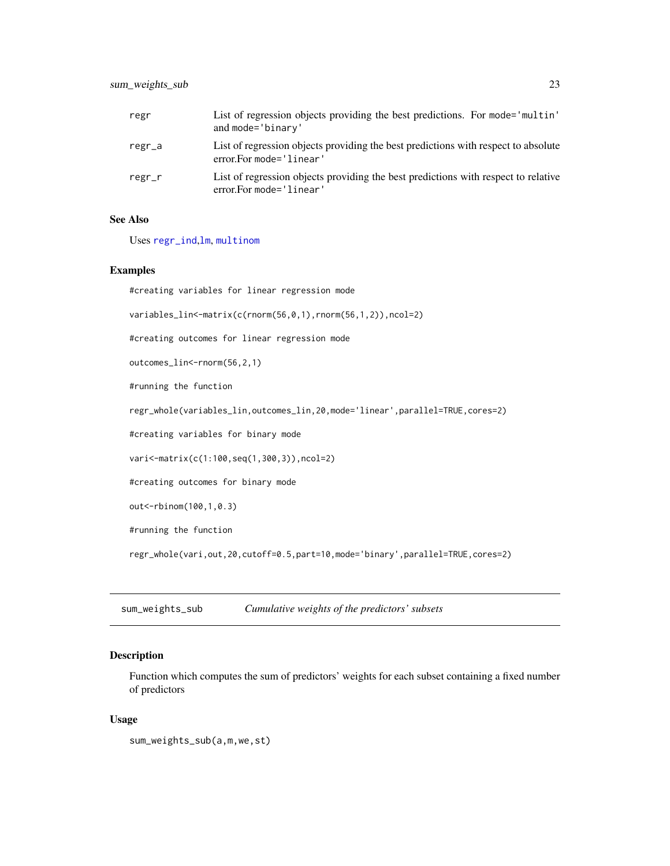<span id="page-22-0"></span>

| regr         | List of regression objects providing the best predictions. For mode='multin'<br>and mode='binary'             |
|--------------|---------------------------------------------------------------------------------------------------------------|
| regr_a       | List of regression objects providing the best predictions with respect to absolute<br>error.For mode='linear' |
| $regr$ _ $r$ | List of regression objects providing the best predictions with respect to relative<br>error.For mode='linear' |

#### See Also

Uses [regr\\_ind](#page-18-1),[lm](#page-0-0), [multinom](#page-0-0)

#### Examples

#creating variables for linear regression mode variables\_lin<-matrix(c(rnorm(56,0,1),rnorm(56,1,2)),ncol=2)

#creating outcomes for linear regression mode

outcomes\_lin<-rnorm(56,2,1)

#running the function

regr\_whole(variables\_lin,outcomes\_lin,20,mode='linear',parallel=TRUE,cores=2)

#creating variables for binary mode

vari<-matrix(c(1:100,seq(1,300,3)),ncol=2)

#creating outcomes for binary mode

out<-rbinom(100,1,0.3)

#running the function

regr\_whole(vari,out,20,cutoff=0.5,part=10,mode='binary',parallel=TRUE,cores=2)

<span id="page-22-1"></span>sum\_weights\_sub *Cumulative weights of the predictors' subsets*

## Description

Function which computes the sum of predictors' weights for each subset containing a fixed number of predictors

#### Usage

sum\_weights\_sub(a,m,we,st)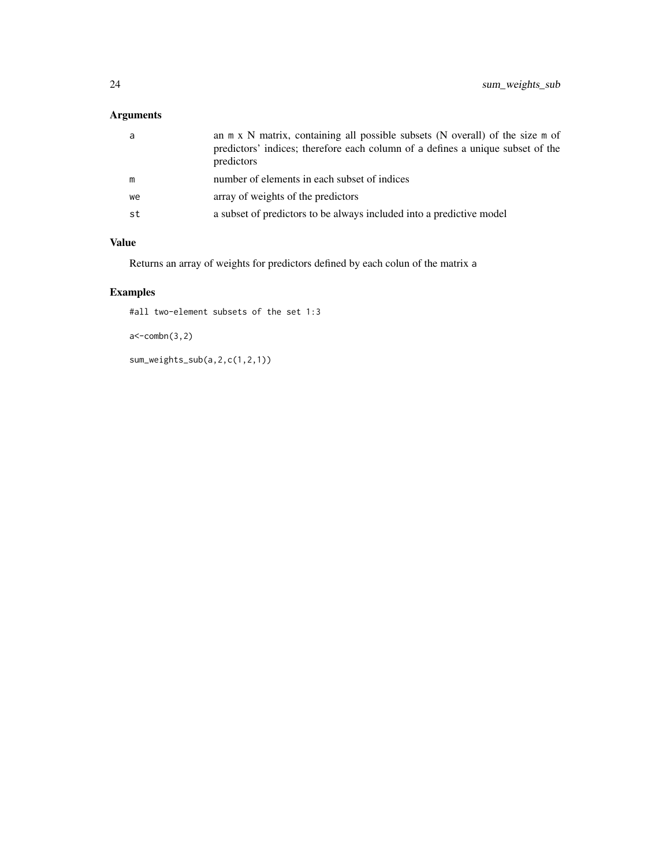## Arguments

| a  | an m x N matrix, containing all possible subsets (N overall) of the size m of<br>predictors' indices; therefore each column of a defines a unique subset of the<br>predictors |
|----|-------------------------------------------------------------------------------------------------------------------------------------------------------------------------------|
| m  | number of elements in each subset of indices                                                                                                                                  |
| we | array of weights of the predictors                                                                                                                                            |
| st | a subset of predictors to be always included into a predictive model                                                                                                          |
|    |                                                                                                                                                                               |

## Value

Returns an array of weights for predictors defined by each colun of the matrix a

## Examples

#all two-element subsets of the set 1:3

```
a < -combn(3,2)
```
sum\_weights\_sub(a,2,c(1,2,1))